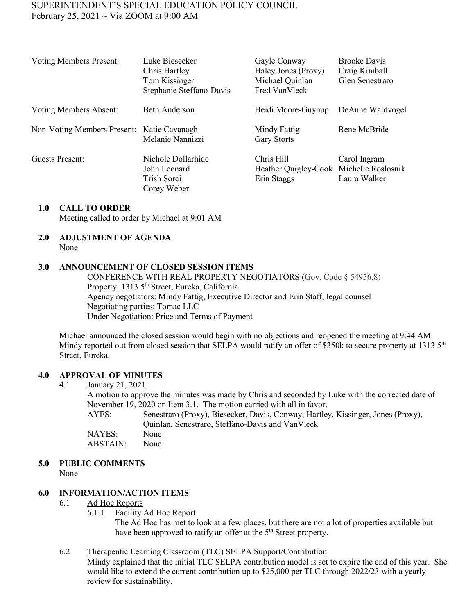# SUPERINTENDENT'S SPECIAL EDUCATION POLICY COUNCIL February 25, 2021  $\sim$  Via ZOOM at 9:00 AM

| <b>Voting Members Present:</b>             | Luke Biesecker<br>Chris Hartley<br>Tom Kissinger<br>Stephanie Steffano-Davis | Gayle Conway<br>Haley Jones (Proxy)<br>Michael Quinlan<br>Fred VanVleck | <b>Brooke Davis</b><br>Craig Kimball<br>Glen Senestraro |
|--------------------------------------------|------------------------------------------------------------------------------|-------------------------------------------------------------------------|---------------------------------------------------------|
| Voting Members Absent:                     | Beth Anderson                                                                | Heidi Moore-Guynup                                                      | DeAnne Waldvogel                                        |
| Non-Voting Members Present: Katie Cavanagh | Melanie Nannizzi                                                             | Mindy Fattig<br><b>Gary Storts</b>                                      | Rene McBride                                            |
| Guests Present:                            | Nichole Dollarhide<br>John Leonard<br>Trish Sorci<br>Corey Weber             | Chris Hill<br>Heather Quigley-Cook Michelle Roslosnik<br>Erin Staggs    | Carol Ingram<br>Laura Walker                            |

## **1.0 CALL TO ORDER**

Meeting called to order by Michael at 9:01 AM

#### **2.0 ADJUSTMENT OF AGENDA**

None

#### **3.0 ANNOUNCEMENT OF CLOSED SESSION ITEMS**

CONFERENCE WITH REAL PROPERTY NEGOTIATORS (Gov. Code § 54956.8) Property: 1313 5th Street, Eureka, California Agency negotiators: Mindy Fattig, Executive Director and Erin Staff, legal counsel Negotiating parties: Tomac LLC Under Negotiation: Price and Terms of Payment

Michael announced the closed session would begin with no objections and reopened the meeting at 9:44 AM. Mindy reported out from closed session that SELPA would ratify an offer of \$350k to secure property at 1313 5<sup>th</sup> Street, Eureka.

#### **4.0 APPROVAL OF MINUTES**

#### 4.1 January 21, 2021

A motion to approve the minutes was made by Chris and seconded by Luke with the corrected date of November 19, 2020 on Item 3.1. The motion carried with all in favor. AYES: Senestraro (Proxy), Biesecker, Davis, Conway, Hartley, Kissinger, Jones (Proxy), Quinlan, Senestraro, Steffano-Davis and VanVleck NAYES: None ABSTAIN: None

## **5.0 PUBLIC COMMENTS**

None

## **6.0 INFORMATION/ACTION ITEMS**

#### 6.1 Ad Hoc Reports

6.1.1 Facility Ad Hoc Report

The Ad Hoc has met to look at a few places, but there are not a lot of properties available but have been approved to ratify an offer at the 5<sup>th</sup> Street property.

## 6.2 Therapeutic Learning Classroom (TLC) SELPA Support/Contribution

Mindy explained that the initial TLC SELPA contribution model is set to expire the end of this year. She would like to extend the current contribution up to \$25,000 per TLC through 2022/23 with a yearly review for sustainability.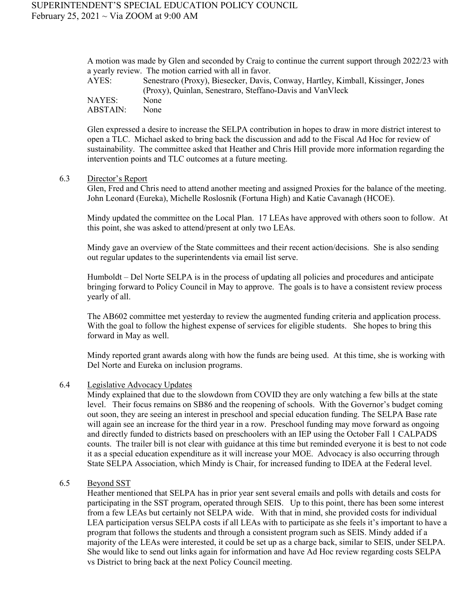A motion was made by Glen and seconded by Craig to continue the current support through 2022/23 with a yearly review. The motion carried with all in favor.

| AYES:    | Senestraro (Proxy), Biesecker, Davis, Conway, Hartley, Kimball, Kissinger, Jones |
|----------|----------------------------------------------------------------------------------|
|          | (Proxy), Quinlan, Senestraro, Steffano-Davis and VanVleck                        |
| NAYES:   | None                                                                             |
| ABSTAIN: | None                                                                             |

Glen expressed a desire to increase the SELPA contribution in hopes to draw in more district interest to open a TLC. Michael asked to bring back the discussion and add to the Fiscal Ad Hoc for review of sustainability. The committee asked that Heather and Chris Hill provide more information regarding the intervention points and TLC outcomes at a future meeting.

#### 6.3 Director's Report

Glen, Fred and Chris need to attend another meeting and assigned Proxies for the balance of the meeting. John Leonard (Eureka), Michelle Roslosnik (Fortuna High) and Katie Cavanagh (HCOE).

Mindy updated the committee on the Local Plan. 17 LEAs have approved with others soon to follow. At this point, she was asked to attend/present at only two LEAs.

Mindy gave an overview of the State committees and their recent action/decisions. She is also sending out regular updates to the superintendents via email list serve.

Humboldt – Del Norte SELPA is in the process of updating all policies and procedures and anticipate bringing forward to Policy Council in May to approve. The goals is to have a consistent review process yearly of all.

The AB602 committee met yesterday to review the augmented funding criteria and application process. With the goal to follow the highest expense of services for eligible students. She hopes to bring this forward in May as well.

Mindy reported grant awards along with how the funds are being used. At this time, she is working with Del Norte and Eureka on inclusion programs.

### 6.4 Legislative Advocacy Updates

Mindy explained that due to the slowdown from COVID they are only watching a few bills at the state level. Their focus remains on SB86 and the reopening of schools. With the Governor's budget coming out soon, they are seeing an interest in preschool and special education funding. The SELPA Base rate will again see an increase for the third year in a row. Preschool funding may move forward as ongoing and directly funded to districts based on preschoolers with an IEP using the October Fall 1 CALPADS counts. The trailer bill is not clear with guidance at this time but reminded everyone it is best to not code it as a special education expenditure as it will increase your MOE. Advocacy is also occurring through State SELPA Association, which Mindy is Chair, for increased funding to IDEA at the Federal level.

#### 6.5 Beyond SST

Heather mentioned that SELPA has in prior year sent several emails and polls with details and costs for participating in the SST program, operated through SEIS. Up to this point, there has been some interest from a few LEAs but certainly not SELPA wide. With that in mind, she provided costs for individual LEA participation versus SELPA costs if all LEAs with to participate as she feels it's important to have a program that follows the students and through a consistent program such as SEIS. Mindy added if a majority of the LEAs were interested, it could be set up as a charge back, similar to SEIS, under SELPA. She would like to send out links again for information and have Ad Hoc review regarding costs SELPA vs District to bring back at the next Policy Council meeting.